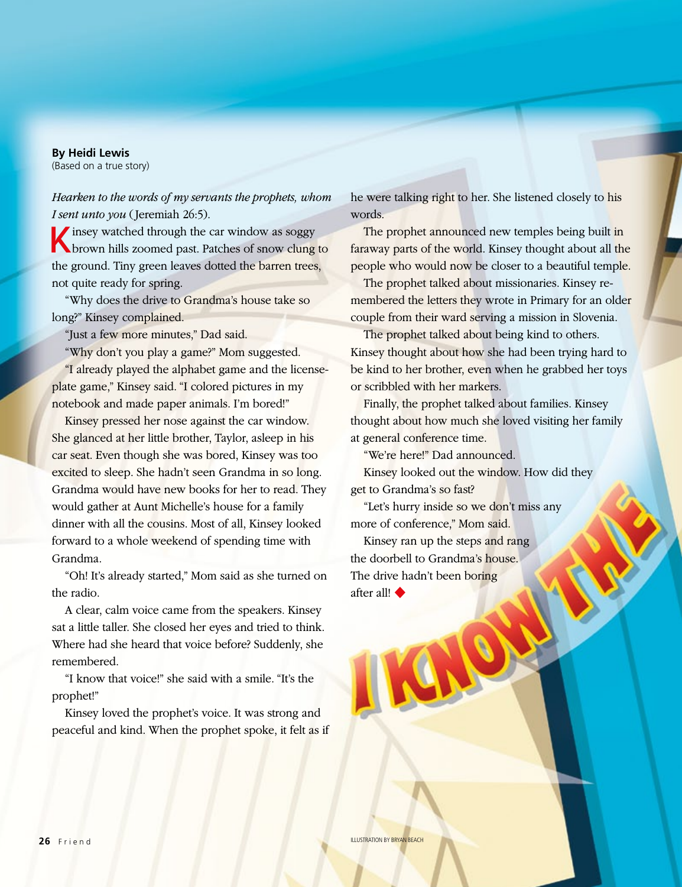## **By Heidi Lewis**

(Based on a true story)

*Hearken to the words of my servants the prophets, whom I sent unto you* (Jeremiah 26:5).

 $\blacksquare$  insey watched through the car window as soggy brown hills zoomed past. Patches of snow clung to the ground. Tiny green leaves dotted the barren trees, not quite ready for spring.

"Why does the drive to Grandma's house take so long?" Kinsey complained.

"Just a few more minutes," Dad said.

"Why don't you play a game?" Mom suggested.

"I already played the alphabet game and the licenseplate game," Kinsey said. "I colored pictures in my notebook and made paper animals. I'm bored!"

Kinsey pressed her nose against the car window. She glanced at her little brother, Taylor, asleep in his car seat. Even though she was bored, Kinsey was too excited to sleep. She hadn't seen Grandma in so long. Grandma would have new books for her to read. They would gather at Aunt Michelle's house for a family dinner with all the cousins. Most of all, Kinsey looked forward to a whole weekend of spending time with Grandma.

"Oh! It's already started," Mom said as she turned on the radio.

A clear, calm voice came from the speakers. Kinsey sat a little taller. She closed her eyes and tried to think. Where had she heard that voice before? Suddenly, she remembered.

"I know that voice!" she said with a smile. "It's the prophet!"

Kinsey loved the prophet's voice. It was strong and peaceful and kind. When the prophet spoke, it felt as if he were talking right to her. She listened closely to his words.

The prophet announced new temples being built in faraway parts of the world. Kinsey thought about all the people who would now be closer to a beautiful temple.

The prophet talked about missionaries. Kinsey remembered the letters they wrote in Primary for an older couple from their ward serving a mission in Slovenia.

The prophet talked about being kind to others. Kinsey thought about how she had been trying hard to be kind to her brother, even when he grabbed her toys or scribbled with her markers.

Finally, the prophet talked about families. Kinsey thought about how much she loved visiting her family at general conference time.

"We're here!" Dad announced.

Kinsey looked out the window. How did they get to Grandma's so fast?

"Let's hurry inside so we don't miss any more of conference," Mom said.

Kinsey ran up the steps and rang the doorbell to Grandma's house. The drive hadn't been boring after all! ◆